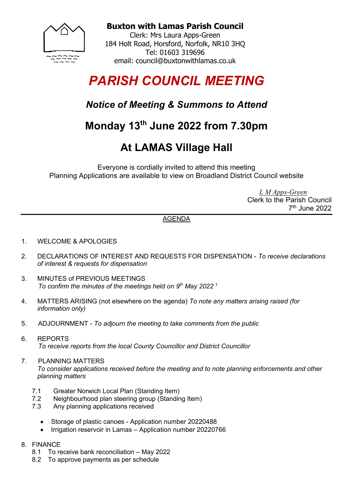

**Buxton with Lamas Parish Council**

Clerk: Mrs Laura Apps-Green 184 Holt Road, Horsford, Norfolk, NR10 3HQ Tel: 01603 319696 email: council@buxtonwithlamas.co.uk

# *PARISH COUNCIL MEETING*

#### *Notice of Meeting & Summons to Attend*

## **Monday 13 th June 2022 from 7.30pm**

## **At LAMAS Village Hall**

Everyone is cordially invited to attend this meeting Planning Applications are available to view on Broadland District Council website

> *L M Apps-Green* Clerk to the Parish Council 7 th June 2022

#### AGENDA

- 1. WELCOME & APOLOGIES
- 2. DECLARATIONS OF INTEREST AND REQUESTS FOR DISPENSATION *To receive declarations of interest & requests for dispensation*
- 3. MINUTES of PREVIOUS MEETINGS *To confirm the minutes of the meetings held on 9<sup>th</sup> May 2022<sup>1</sup>*
- 4. MATTERS ARISING (not elsewhere on the agenda) *To note any matters arising raised (for information only)*
- 5. ADJOURNMENT *To adjourn the meeting to take comments from the public*
- 6. REPORTS *To receive reports from the local County Councillor and District Councillor*

#### 7. PLANNING MATTERS *To consider applications received before the meeting and to note planning enforcements and other planning matters*

- 7.1 Greater Norwich Local Plan (Standing Item)<br>7.2 Neighbourhood plan steering group (Standin
- Neighbourhood plan steering group (Standing Item)
- 7.3 Any planning applications received
	- Storage of plastic canoes Application number 20220488
	- Irrigation reservoir in Lamas Application number 20220766
- 8. FINANCE
	- 8.1 To receive bank reconciliation May 2022
	- 8.2 To approve payments as per schedule